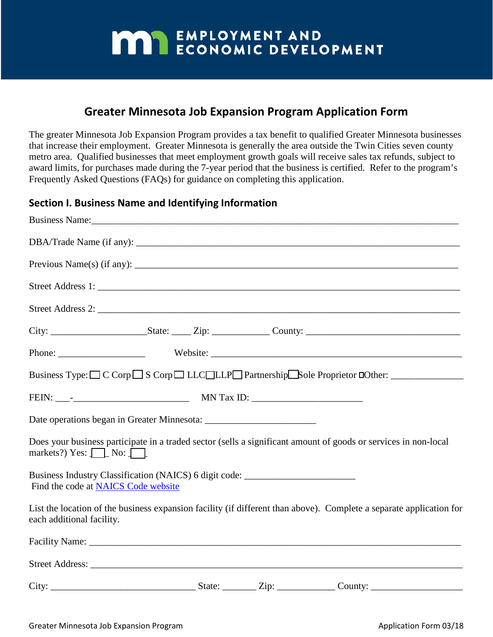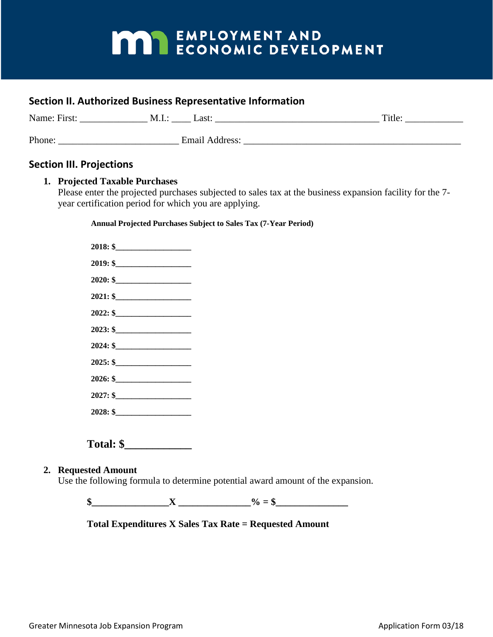### **Section II. Authorized Business Representative Information**

| Name: First: | Last:<br>M.I.:        | Title: |
|--------------|-----------------------|--------|
| Phone:       | <b>Email Address:</b> |        |

### **Section III. Projections**

#### **1. Projected Taxable Purchases**

Please enter the projected purchases subjected to sales tax at the business expansion facility for the 7 year certification period for which you are applying.

**Annual Projected Purchases Subject to Sales Tax (7-Year Period)**

| 2022: \$<br>$2023:$ \$<br>2024: \$ |
|------------------------------------|
|                                    |
|                                    |
|                                    |
| 2025: \$                           |
| 2026: \$                           |
|                                    |
| $2028:$ \$                         |
| 2029: \$                           |
| $2030:$ \$                         |
| $2031:$ \$                         |
|                                    |

### **Total: \$\_\_\_\_\_\_\_\_\_\_\_\_**

#### **2. Requested Amount**

Use the following formula to determine potential award amount of the expansion.

 $\frac{\sqrt{3}}{2}$   $\frac{X}{2}$   $\frac{9}{2}$  = \$

### **Total Expenditures X Sales Tax Rate = Requested Amount**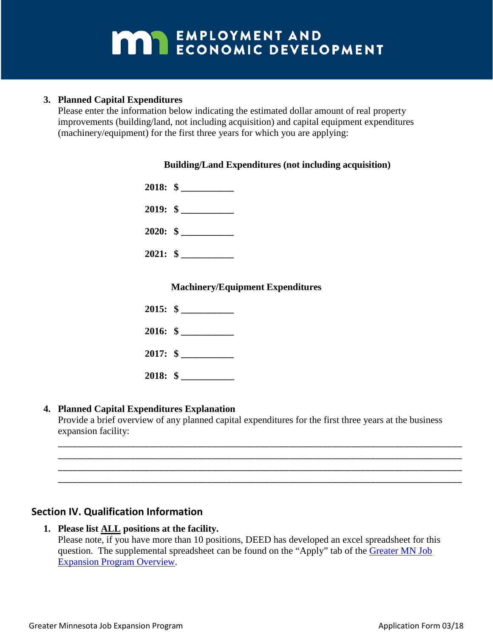### **3. Planned Capital Expenditures**

Please enter the information below indicating the estimated dollar amount of real property improvements (building/land, not including acquisition) and capital equipment expenditures (machinery/equipment) for the first three years for which you are applying:

### **Building/Land Expenditures (not including acquisition)**

|  | $2022:$ \$ |
|--|------------|
|  | $2023:$ \$ |
|  | $2024:$ \$ |

### **Machinery/Equipment Expenditures**

|            | $2021:$ \$ |
|------------|------------|
|            | $2022:$ \$ |
|            | $2023:$ \$ |
| $2024:$ \$ |            |

### **4. Planned Capital Expenditures Explanation**

Provide a brief overview of any planned capital expenditures for the first three years at the business expansion facility:

\_\_\_\_\_\_\_\_\_\_\_\_\_\_\_\_\_\_\_\_\_\_\_\_\_\_\_\_\_\_\_\_\_\_\_\_\_\_\_\_\_\_\_\_\_\_\_\_\_\_\_\_\_\_\_\_\_\_\_\_\_\_\_\_\_\_\_\_\_\_\_\_\_\_\_\_\_\_\_\_\_\_\_\_ \_\_\_\_\_\_\_\_\_\_\_\_\_\_\_\_\_\_\_\_\_\_\_\_\_\_\_\_\_\_\_\_\_\_\_\_\_\_\_\_\_\_\_\_\_\_\_\_\_\_\_\_\_\_\_\_\_\_\_\_\_\_\_\_\_\_\_\_\_\_\_\_\_\_\_\_\_\_\_\_\_\_\_\_ \_\_\_\_\_\_\_\_\_\_\_\_\_\_\_\_\_\_\_\_\_\_\_\_\_\_\_\_\_\_\_\_\_\_\_\_\_\_\_\_\_\_\_\_\_\_\_\_\_\_\_\_\_\_\_\_\_\_\_\_\_\_\_\_\_\_\_\_\_\_\_\_\_\_\_\_\_\_\_\_\_\_\_\_ \_\_\_\_\_\_\_\_\_\_\_\_\_\_\_\_\_\_\_\_\_\_\_\_\_\_\_\_\_\_\_\_\_\_\_\_\_\_\_\_\_\_\_\_\_\_\_\_\_\_\_\_\_\_\_\_\_\_\_\_\_\_\_\_\_\_\_\_\_\_\_\_\_\_\_\_\_\_\_\_\_\_\_\_

### **Section IV. Qualification Information**

#### **1. Please list ALL positions at the facility.**

Please note, if you have more than 10 positions, DEED has developed an excel spreadsheet for this question. The supplemental spreadsheet can be found on the "Apply" tab of the [Greater MN Job](https://mn.gov/deed/business/financing-business/tax-credits/greater-mn-job-expansion/) [Expansion Program Overview.](https://mn.gov/deed/business/financing-business/tax-credits/greater-mn-job-expansion/)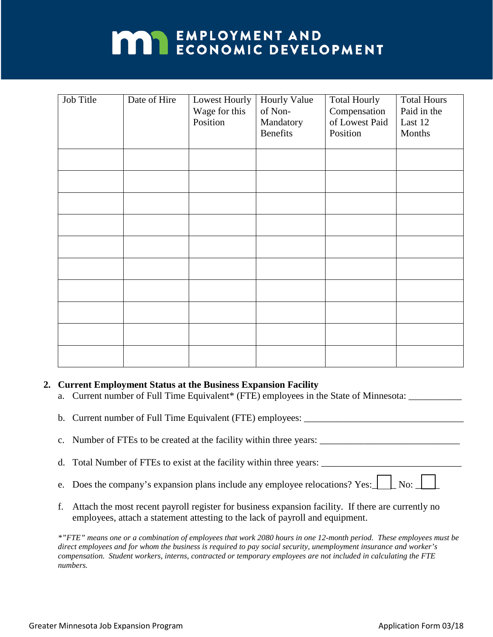| Job Title | Date of Hire | Lowest Hourly<br>Wage for this<br>Position | <b>Hourly Value</b><br>of Non-<br>Mandatory<br>Benefits | <b>Total Hourly</b><br>Compensation<br>of Lowest Paid<br>Position | <b>Total Hours</b><br>Paid in the<br>Last 12<br>Months |
|-----------|--------------|--------------------------------------------|---------------------------------------------------------|-------------------------------------------------------------------|--------------------------------------------------------|
|           |              |                                            |                                                         |                                                                   |                                                        |
|           |              |                                            |                                                         |                                                                   |                                                        |
|           |              |                                            |                                                         |                                                                   |                                                        |
|           |              |                                            |                                                         |                                                                   |                                                        |
|           |              |                                            |                                                         |                                                                   |                                                        |
|           |              |                                            |                                                         |                                                                   |                                                        |

#### **2. Current Employment Status at the Business Expansion Facility**

- a. Current number of Full Time Equivalent\* (FTE) employees in the State of Minnesota:
- b. Current number of Full Time Equivalent (FTE) employees: \_\_\_\_\_\_\_\_\_\_\_\_\_\_\_\_\_\_\_\_\_\_\_\_\_\_\_\_\_\_\_\_\_
- c. Number of FTEs to be created at the facility within three years: \_\_\_\_\_\_\_\_\_\_\_\_\_\_\_\_\_\_\_\_\_\_\_\_\_\_\_\_\_
- d. Total Number of FTEs to exist at the facility within three years: \_\_\_\_\_\_\_\_\_\_\_
- e. Does the company's expansion plans include any employee relocations? Yes:  $\Box$  No:
- f. Attach the most recent payroll register for business expansion facility. If there are currently no employees, attach a statement attesting to the lack of payroll and equipment.

*\*"FTE" means one or a combination of employees that work 2080 hours in one 12-month period. These employees must be direct employees and for whom the business is required to pay social security, unemployment insurance and worker's compensation. Student workers, interns, contracted or temporary employees are not included in calculating the FTE numbers.*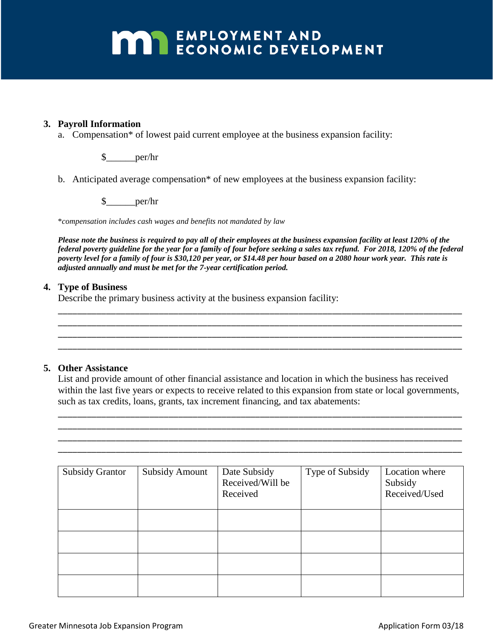#### **3. Payroll Information**

a. Compensation\* of lowest paid current employee at the business expansion facility:

\$\_\_\_\_\_\_per/hr

b. Anticipated average compensation\* of new employees at the business expansion facility:

\$\_\_\_\_\_\_per/hr

\**compensation includes cash wages and benefits not mandated by law*

*Please note the business is required to pay all of their employees at the business expansion facility at least 120% of the federal poverty guideline for the year for a family of four before seeking a sales tax refund. For 2021, 120% of the federal poverty level for a family of four is \$31,800 per year, or \$15.29 per hour based on a 2080 hour work year. This rate is adjusted annually and must be met for the 7-year certification period.* 

#### **4. Type of Business**

Describe the primary business activity at the business expansion facility:

#### **5. Other Assistance**

List and provide amount of other financial assistance and location in which the business has received within the last five years or expects to receive related to this expansion from state or local governments, such as tax credits, loans, grants, tax increment financing, and tax abatements:

\_\_\_\_\_\_\_\_\_\_\_\_\_\_\_\_\_\_\_\_\_\_\_\_\_\_\_\_\_\_\_\_\_\_\_\_\_\_\_\_\_\_\_\_\_\_\_\_\_\_\_\_\_\_\_\_\_\_\_\_\_\_\_\_\_\_\_\_\_\_\_\_\_\_\_\_\_\_\_\_\_\_\_\_ \_\_\_\_\_\_\_\_\_\_\_\_\_\_\_\_\_\_\_\_\_\_\_\_\_\_\_\_\_\_\_\_\_\_\_\_\_\_\_\_\_\_\_\_\_\_\_\_\_\_\_\_\_\_\_\_\_\_\_\_\_\_\_\_\_\_\_\_\_\_\_\_\_\_\_\_\_\_\_\_\_\_\_\_ \_\_\_\_\_\_\_\_\_\_\_\_\_\_\_\_\_\_\_\_\_\_\_\_\_\_\_\_\_\_\_\_\_\_\_\_\_\_\_\_\_\_\_\_\_\_\_\_\_\_\_\_\_\_\_\_\_\_\_\_\_\_\_\_\_\_\_\_\_\_\_\_\_\_\_\_\_\_\_\_\_\_\_\_ \_\_\_\_\_\_\_\_\_\_\_\_\_\_\_\_\_\_\_\_\_\_\_\_\_\_\_\_\_\_\_\_\_\_\_\_\_\_\_\_\_\_\_\_\_\_\_\_\_\_\_\_\_\_\_\_\_\_\_\_\_\_\_\_\_\_\_\_\_\_\_\_\_\_\_\_\_\_\_\_\_\_\_\_

\_\_\_\_\_\_\_\_\_\_\_\_\_\_\_\_\_\_\_\_\_\_\_\_\_\_\_\_\_\_\_\_\_\_\_\_\_\_\_\_\_\_\_\_\_\_\_\_\_\_\_\_\_\_\_\_\_\_\_\_\_\_\_\_\_\_\_\_\_\_\_\_\_\_\_\_\_\_\_\_\_\_\_\_ \_\_\_\_\_\_\_\_\_\_\_\_\_\_\_\_\_\_\_\_\_\_\_\_\_\_\_\_\_\_\_\_\_\_\_\_\_\_\_\_\_\_\_\_\_\_\_\_\_\_\_\_\_\_\_\_\_\_\_\_\_\_\_\_\_\_\_\_\_\_\_\_\_\_\_\_\_\_\_\_\_\_\_\_ \_\_\_\_\_\_\_\_\_\_\_\_\_\_\_\_\_\_\_\_\_\_\_\_\_\_\_\_\_\_\_\_\_\_\_\_\_\_\_\_\_\_\_\_\_\_\_\_\_\_\_\_\_\_\_\_\_\_\_\_\_\_\_\_\_\_\_\_\_\_\_\_\_\_\_\_\_\_\_\_\_\_\_\_ \_\_\_\_\_\_\_\_\_\_\_\_\_\_\_\_\_\_\_\_\_\_\_\_\_\_\_\_\_\_\_\_\_\_\_\_\_\_\_\_\_\_\_\_\_\_\_\_\_\_\_\_\_\_\_\_\_\_\_\_\_\_\_\_\_\_\_\_\_\_\_\_\_\_\_\_\_\_\_\_\_\_\_\_

| <b>Subsidy Grantor</b> | <b>Subsidy Amount</b> | Date Subsidy<br>Received/Will be<br>Received | Type of Subsidy | Location where<br>Subsidy<br>Received/Used |
|------------------------|-----------------------|----------------------------------------------|-----------------|--------------------------------------------|
|                        |                       |                                              |                 |                                            |
|                        |                       |                                              |                 |                                            |
|                        |                       |                                              |                 |                                            |
|                        |                       |                                              |                 |                                            |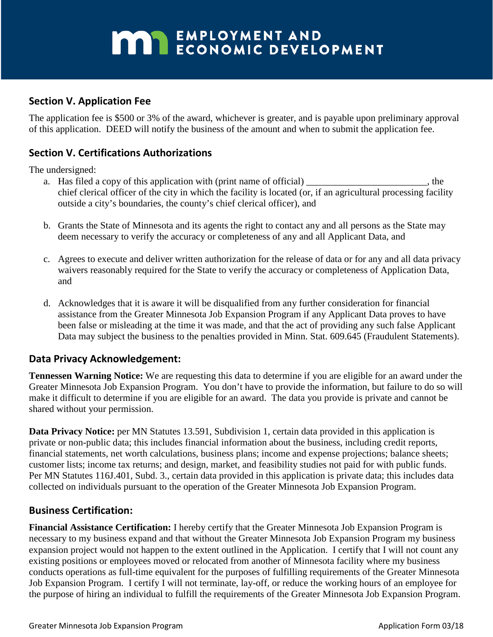### **Section V. Application Fee**

The application fee is \$500 or 3% of the award, whichever is greater, and is payable upon preliminary approval of this application. DEED will notify the business of the amount and when to submit the application fee.

### **Section V. Certifications Authorizations**

The undersigned:

- a. Has filed a copy of this application with (print name of official) \_\_\_\_\_\_\_\_\_\_\_\_\_\_\_\_\_\_\_\_, the chief clerical officer of the city in which the facility is located (or, if an agricultural processing facility outside a city's boundaries, the county's chief clerical officer), and
- b. Grants the State of Minnesota and its agents the right to contact any and all persons as the State may deem necessary to verify the accuracy or completeness of any and all Applicant Data, and
- c. Agrees to execute and deliver written authorization for the release of data or for any and all data privacy waivers reasonably required for the State to verify the accuracy or completeness of Application Data, and
- d. Acknowledges that it is aware it will be disqualified from any further consideration for financial assistance from the Greater Minnesota Job Expansion Program if any Applicant Data proves to have been false or misleading at the time it was made, and that the act of providing any such false Applicant Data may subject the business to the penalties provided in Minn. Stat. 609.645 (Fraudulent Statements).

### **Data Privacy Acknowledgement:**

**Tennessen Warning Notice:** We are requesting this data to determine if you are eligible for an award under the Greater Minnesota Job Expansion Program. You don't have to provide the information, but failure to do so will make it difficult to determine if you are eligible for an award. The data you provide is private and cannot be shared without your permission.

**Data Privacy Notice:** per MN Statutes 13.591, Subdivision 1, certain data provided in this application is private or non-public data; this includes financial information about the business, including credit reports, financial statements, net worth calculations, business plans; income and expense projections; balance sheets; customer lists; income tax returns; and design, market, and feasibility studies not paid for with public funds. Per MN Statutes 116J.401, Subd. 3., certain data provided in this application is private data; this includes data collected on individuals pursuant to the operation of the Greater Minnesota Job Expansion Program.

### **Business Certification:**

**Financial Assistance Certification:** I hereby certify that the Greater Minnesota Job Expansion Program is necessary to my business expand and that without the Greater Minnesota Job Expansion Program my business expansion project would not happen to the extent outlined in the Application. I certify that I will not count any existing positions or employees moved or relocated from another of Minnesota facility where my business conducts operations as full-time equivalent for the purposes of fulfilling requirements of the Greater Minnesota Job Expansion Program. I certify I will not terminate, lay-off, or reduce the working hours of an employee for the purpose of hiring an individual to fulfill the requirements of the Greater Minnesota Job Expansion Program.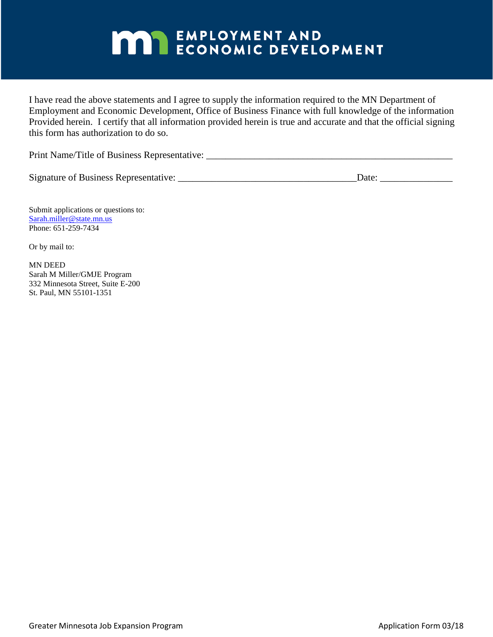I have read the above statements and I agree to supply the information required to the MN Department of Employment and Economic Development, Office of Business Finance with full knowledge of the information Provided herein. I certify that all information provided herein is true and accurate and that the official signing this form has authorization to do so.

Print Name/Title of Business Representative: \_\_\_\_\_\_\_\_\_\_\_\_\_\_\_\_\_\_\_\_\_\_\_\_\_\_\_\_\_\_\_\_\_\_\_\_\_\_\_\_\_\_\_\_\_\_\_\_\_\_\_

Signature of Business Representative: <br>  $\Box$  Date:  $\Box$ 

Submit applications or questions to: [Sarah.miller@state.mn.us](mailto:Sarah.miller@state.mn.us) Phone: 651-259-7434

Or by mail to:

MN DEED Sarah M Miller/GMJE Program 332 Minnesota Street, Suite E-200 St. Paul, MN 55101-1351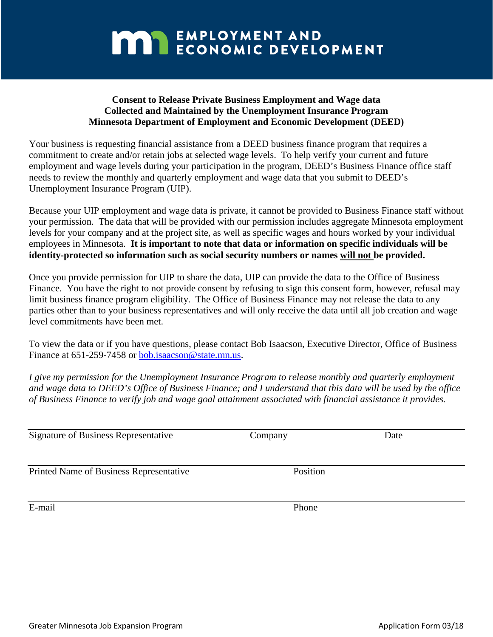### **Consent to Release Private Business Employment and Wage data Collected and Maintained by the Unemployment Insurance Program Minnesota Department of Employment and Economic Development (DEED)**

Your business is requesting financial assistance from a DEED business finance program that requires a commitment to create and/or retain jobs at selected wage levels. To help verify your current and future employment and wage levels during your participation in the program, DEED's Business Finance office staff needs to review the monthly and quarterly employment and wage data that you submit to DEED's Unemployment Insurance Program (UIP).

Because your UIP employment and wage data is private, it cannot be provided to Business Finance staff without your permission. The data that will be provided with our permission includes aggregate Minnesota employment levels for your company and at the project site, as well as specific wages and hours worked by your individual employees in Minnesota. **It is important to note that data or information on specific individuals will be identity-protected so information such as social security numbers or names will not be provided.** 

Once you provide permission for UIP to share the data, UIP can provide the data to the Office of Business Finance. You have the right to not provide consent by refusing to sign this consent form, however, refusal may limit business finance program eligibility. The Office of Business Finance may not release the data to any parties other than to your business representatives and will only receive the data until all job creation and wage level commitments have been met.

To view the data or if you have questions, please contact Bob Isaacson, Executive Director, Office of Business Finance at 651-259-7458 or [bob.isaacson@state.mn.us.](mailto:bob.isaacson@state.mn.us)

*I give my permission for the Unemployment Insurance Program to release monthly and quarterly employment and wage data to DEED's Office of Business Finance; and I understand that this data will be used by the office of Business Finance to verify job and wage goal attainment associated with financial assistance it provides.* 

| <b>Signature of Business Representative</b> | Company  | Date |
|---------------------------------------------|----------|------|
| Printed Name of Business Representative     | Position |      |
| E-mail                                      | Phone    |      |